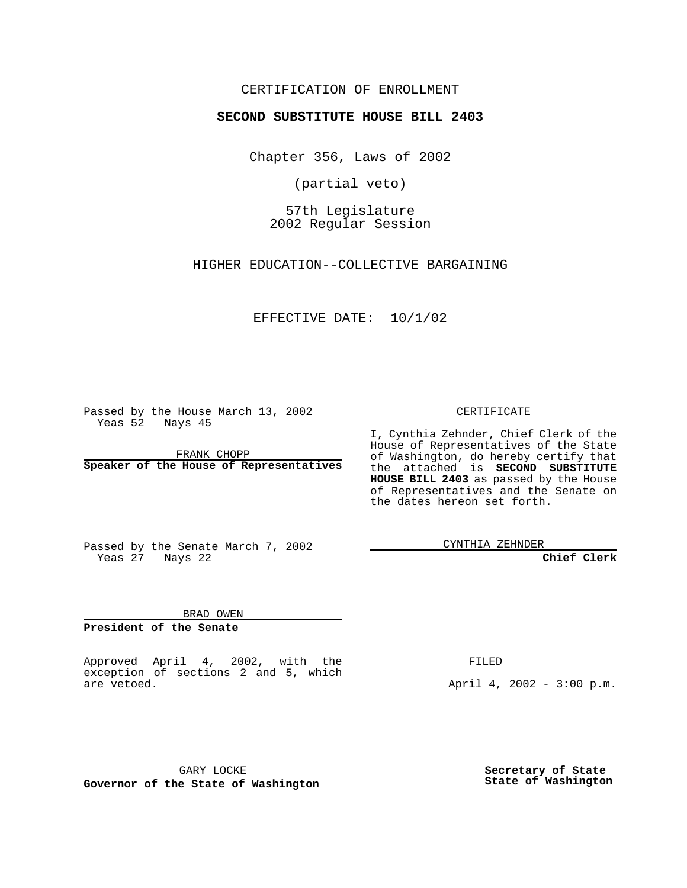### CERTIFICATION OF ENROLLMENT

# **SECOND SUBSTITUTE HOUSE BILL 2403**

Chapter 356, Laws of 2002

(partial veto)

57th Legislature 2002 Regular Session

HIGHER EDUCATION--COLLECTIVE BARGAINING

EFFECTIVE DATE: 10/1/02

Passed by the House March 13, 2002 Yeas 52 Nays 45

FRANK CHOPP **Speaker of the House of Representatives** CERTIFICATE

I, Cynthia Zehnder, Chief Clerk of the House of Representatives of the State of Washington, do hereby certify that the attached is **SECOND SUBSTITUTE HOUSE BILL 2403** as passed by the House of Representatives and the Senate on the dates hereon set forth.

Passed by the Senate March 7, 2002 Yeas 27 Nays 22

CYNTHIA ZEHNDER

**Chief Clerk**

BRAD OWEN

**President of the Senate**

Approved April 4, 2002, with the exception of sections 2 and 5, which are vetoed.

FILED

April 4, 2002 - 3:00 p.m.

GARY LOCKE **Governor of the State of Washington** **Secretary of State State of Washington**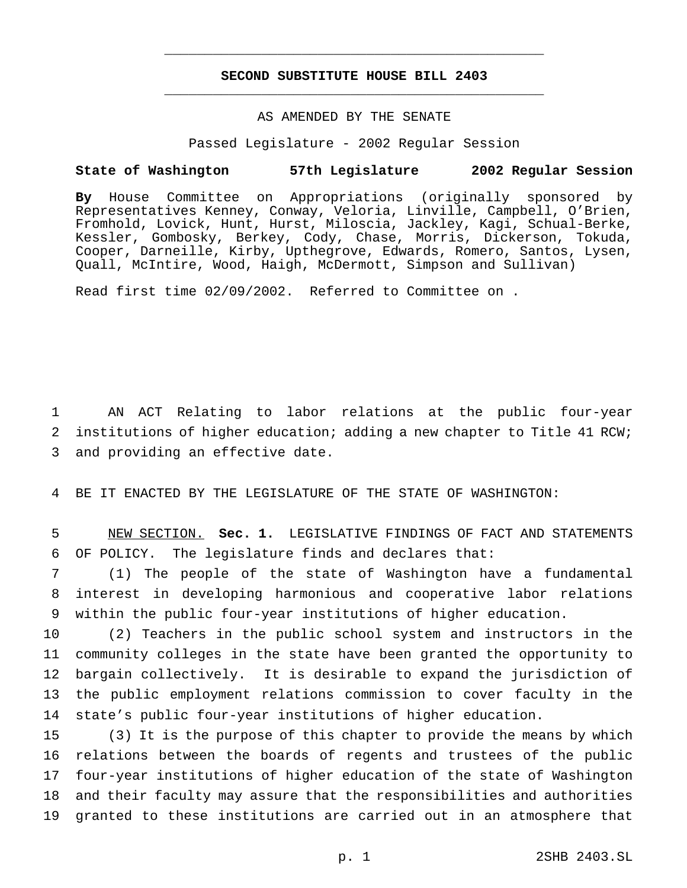## **SECOND SUBSTITUTE HOUSE BILL 2403** \_\_\_\_\_\_\_\_\_\_\_\_\_\_\_\_\_\_\_\_\_\_\_\_\_\_\_\_\_\_\_\_\_\_\_\_\_\_\_\_\_\_\_\_\_\_\_

\_\_\_\_\_\_\_\_\_\_\_\_\_\_\_\_\_\_\_\_\_\_\_\_\_\_\_\_\_\_\_\_\_\_\_\_\_\_\_\_\_\_\_\_\_\_\_

# AS AMENDED BY THE SENATE

Passed Legislature - 2002 Regular Session

#### **State of Washington 57th Legislature 2002 Regular Session**

**By** House Committee on Appropriations (originally sponsored by Representatives Kenney, Conway, Veloria, Linville, Campbell, O'Brien, Fromhold, Lovick, Hunt, Hurst, Miloscia, Jackley, Kagi, Schual-Berke, Kessler, Gombosky, Berkey, Cody, Chase, Morris, Dickerson, Tokuda, Cooper, Darneille, Kirby, Upthegrove, Edwards, Romero, Santos, Lysen, Quall, McIntire, Wood, Haigh, McDermott, Simpson and Sullivan)

Read first time 02/09/2002. Referred to Committee on .

1 AN ACT Relating to labor relations at the public four-year 2 institutions of higher education; adding a new chapter to Title 41 RCW; 3 and providing an effective date.

4 BE IT ENACTED BY THE LEGISLATURE OF THE STATE OF WASHINGTON:

5 NEW SECTION. **Sec. 1.** LEGISLATIVE FINDINGS OF FACT AND STATEMENTS 6 OF POLICY. The legislature finds and declares that:

7 (1) The people of the state of Washington have a fundamental 8 interest in developing harmonious and cooperative labor relations 9 within the public four-year institutions of higher education.

 (2) Teachers in the public school system and instructors in the community colleges in the state have been granted the opportunity to bargain collectively. It is desirable to expand the jurisdiction of the public employment relations commission to cover faculty in the state's public four-year institutions of higher education.

 (3) It is the purpose of this chapter to provide the means by which relations between the boards of regents and trustees of the public four-year institutions of higher education of the state of Washington and their faculty may assure that the responsibilities and authorities granted to these institutions are carried out in an atmosphere that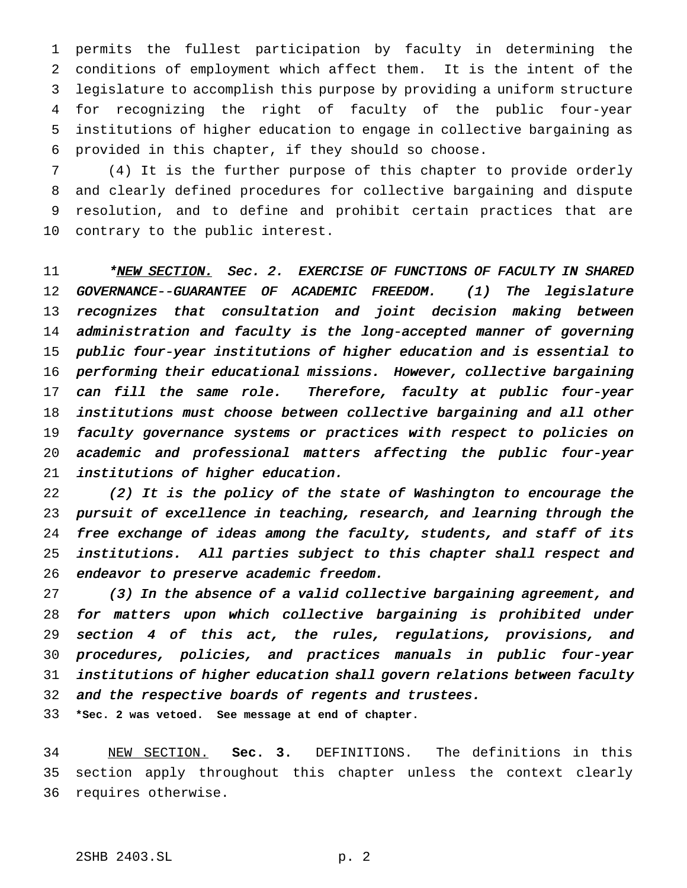permits the fullest participation by faculty in determining the conditions of employment which affect them. It is the intent of the legislature to accomplish this purpose by providing a uniform structure for recognizing the right of faculty of the public four-year institutions of higher education to engage in collective bargaining as provided in this chapter, if they should so choose.

 (4) It is the further purpose of this chapter to provide orderly and clearly defined procedures for collective bargaining and dispute resolution, and to define and prohibit certain practices that are contrary to the public interest.

11 \*NEW SECTION. Sec. 2. EXERCISE OF FUNCTIONS OF FACULTY IN SHARED GOVERNANCE--GUARANTEE OF ACADEMIC FREEDOM. (1) The legislature recognizes that consultation and joint decision making between administration and faculty is the long-accepted manner of governing public four-year institutions of higher education and is essential to performing their educational missions. However, collective bargaining 17 can fill the same role. Therefore, faculty at public four-year institutions must choose between collective bargaining and all other faculty governance systems or practices with respect to policies on academic and professional matters affecting the public four-year institutions of higher education.

 (2) It is the policy of the state of Washington to encourage the pursuit of excellence in teaching, research, and learning through the free exchange of ideas among the faculty, students, and staff of its institutions. All parties subject to this chapter shall respect and endeavor to preserve academic freedom.

 (3) In the absence of <sup>a</sup> valid collective bargaining agreement, and for matters upon which collective bargaining is prohibited under section <sup>4</sup> of this act, the rules, regulations, provisions, and procedures, policies, and practices manuals in public four-year institutions of higher education shall govern relations between faculty and the respective boards of regents and trustees.

**\*Sec. 2 was vetoed. See message at end of chapter.**

 NEW SECTION. **Sec. 3.** DEFINITIONS. The definitions in this section apply throughout this chapter unless the context clearly requires otherwise.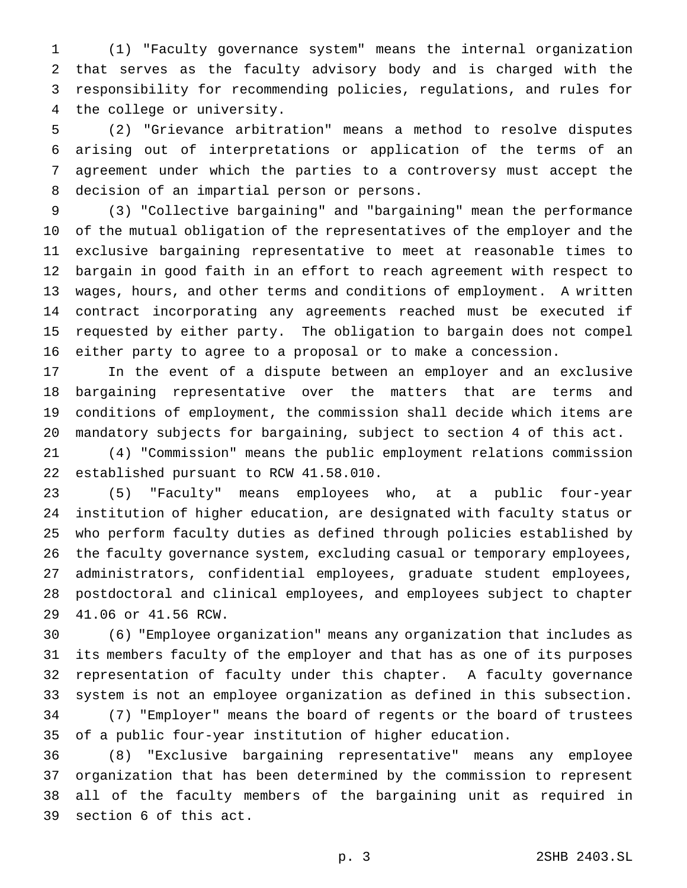(1) "Faculty governance system" means the internal organization that serves as the faculty advisory body and is charged with the responsibility for recommending policies, regulations, and rules for the college or university.

 (2) "Grievance arbitration" means a method to resolve disputes arising out of interpretations or application of the terms of an agreement under which the parties to a controversy must accept the decision of an impartial person or persons.

 (3) "Collective bargaining" and "bargaining" mean the performance of the mutual obligation of the representatives of the employer and the exclusive bargaining representative to meet at reasonable times to bargain in good faith in an effort to reach agreement with respect to wages, hours, and other terms and conditions of employment. A written contract incorporating any agreements reached must be executed if requested by either party. The obligation to bargain does not compel either party to agree to a proposal or to make a concession.

 In the event of a dispute between an employer and an exclusive bargaining representative over the matters that are terms and conditions of employment, the commission shall decide which items are mandatory subjects for bargaining, subject to section 4 of this act.

 (4) "Commission" means the public employment relations commission established pursuant to RCW 41.58.010.

 (5) "Faculty" means employees who, at a public four-year institution of higher education, are designated with faculty status or who perform faculty duties as defined through policies established by the faculty governance system, excluding casual or temporary employees, administrators, confidential employees, graduate student employees, postdoctoral and clinical employees, and employees subject to chapter 41.06 or 41.56 RCW.

 (6) "Employee organization" means any organization that includes as its members faculty of the employer and that has as one of its purposes representation of faculty under this chapter. A faculty governance system is not an employee organization as defined in this subsection. (7) "Employer" means the board of regents or the board of trustees

of a public four-year institution of higher education.

 (8) "Exclusive bargaining representative" means any employee organization that has been determined by the commission to represent all of the faculty members of the bargaining unit as required in section 6 of this act.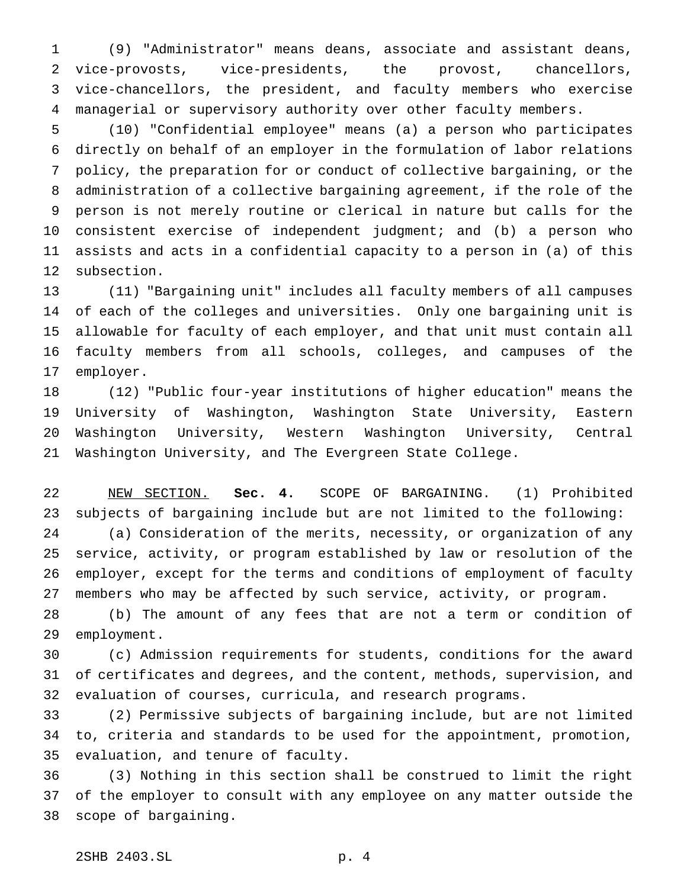(9) "Administrator" means deans, associate and assistant deans, vice-provosts, vice-presidents, the provost, chancellors, vice-chancellors, the president, and faculty members who exercise managerial or supervisory authority over other faculty members.

 (10) "Confidential employee" means (a) a person who participates directly on behalf of an employer in the formulation of labor relations policy, the preparation for or conduct of collective bargaining, or the administration of a collective bargaining agreement, if the role of the person is not merely routine or clerical in nature but calls for the consistent exercise of independent judgment; and (b) a person who assists and acts in a confidential capacity to a person in (a) of this subsection.

 (11) "Bargaining unit" includes all faculty members of all campuses of each of the colleges and universities. Only one bargaining unit is allowable for faculty of each employer, and that unit must contain all faculty members from all schools, colleges, and campuses of the employer.

 (12) "Public four-year institutions of higher education" means the University of Washington, Washington State University, Eastern Washington University, Western Washington University, Central Washington University, and The Evergreen State College.

 NEW SECTION. **Sec. 4.** SCOPE OF BARGAINING. (1) Prohibited subjects of bargaining include but are not limited to the following: (a) Consideration of the merits, necessity, or organization of any service, activity, or program established by law or resolution of the employer, except for the terms and conditions of employment of faculty members who may be affected by such service, activity, or program.

 (b) The amount of any fees that are not a term or condition of employment.

 (c) Admission requirements for students, conditions for the award of certificates and degrees, and the content, methods, supervision, and evaluation of courses, curricula, and research programs.

 (2) Permissive subjects of bargaining include, but are not limited to, criteria and standards to be used for the appointment, promotion, evaluation, and tenure of faculty.

 (3) Nothing in this section shall be construed to limit the right of the employer to consult with any employee on any matter outside the scope of bargaining.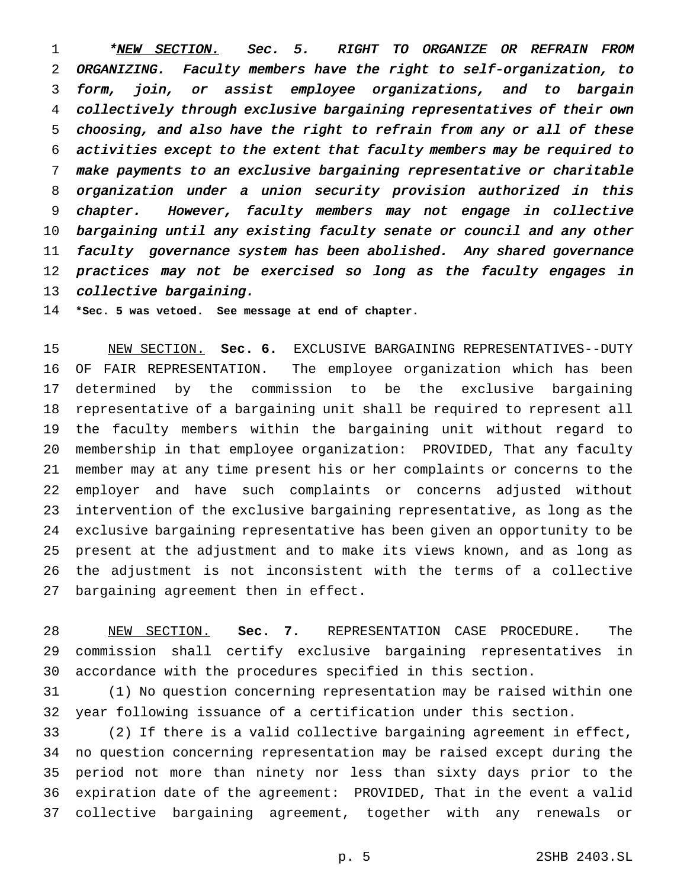1 \* NEW SECTION. Sec. 5. RIGHT TO ORGANIZE OR REFRAIN FROM ORGANIZING. Faculty members have the right to self-organization, to form, join, or assist employee organizations, and to bargain collectively through exclusive bargaining representatives of their own choosing, and also have the right to refrain from any or all of these activities except to the extent that faculty members may be required to make payments to an exclusive bargaining representative or charitable organization under <sup>a</sup> union security provision authorized in this chapter. However, faculty members may not engage in collective bargaining until any existing faculty senate or council and any other faculty governance system has been abolished. Any shared governance practices may not be exercised so long as the faculty engages in collective bargaining.

**\*Sec. 5 was vetoed. See message at end of chapter.**

 NEW SECTION. **Sec. 6.** EXCLUSIVE BARGAINING REPRESENTATIVES--DUTY OF FAIR REPRESENTATION. The employee organization which has been determined by the commission to be the exclusive bargaining representative of a bargaining unit shall be required to represent all the faculty members within the bargaining unit without regard to membership in that employee organization: PROVIDED, That any faculty member may at any time present his or her complaints or concerns to the employer and have such complaints or concerns adjusted without intervention of the exclusive bargaining representative, as long as the exclusive bargaining representative has been given an opportunity to be present at the adjustment and to make its views known, and as long as the adjustment is not inconsistent with the terms of a collective bargaining agreement then in effect.

 NEW SECTION. **Sec. 7.** REPRESENTATION CASE PROCEDURE. The commission shall certify exclusive bargaining representatives in accordance with the procedures specified in this section.

 (1) No question concerning representation may be raised within one year following issuance of a certification under this section.

 (2) If there is a valid collective bargaining agreement in effect, no question concerning representation may be raised except during the period not more than ninety nor less than sixty days prior to the expiration date of the agreement: PROVIDED, That in the event a valid collective bargaining agreement, together with any renewals or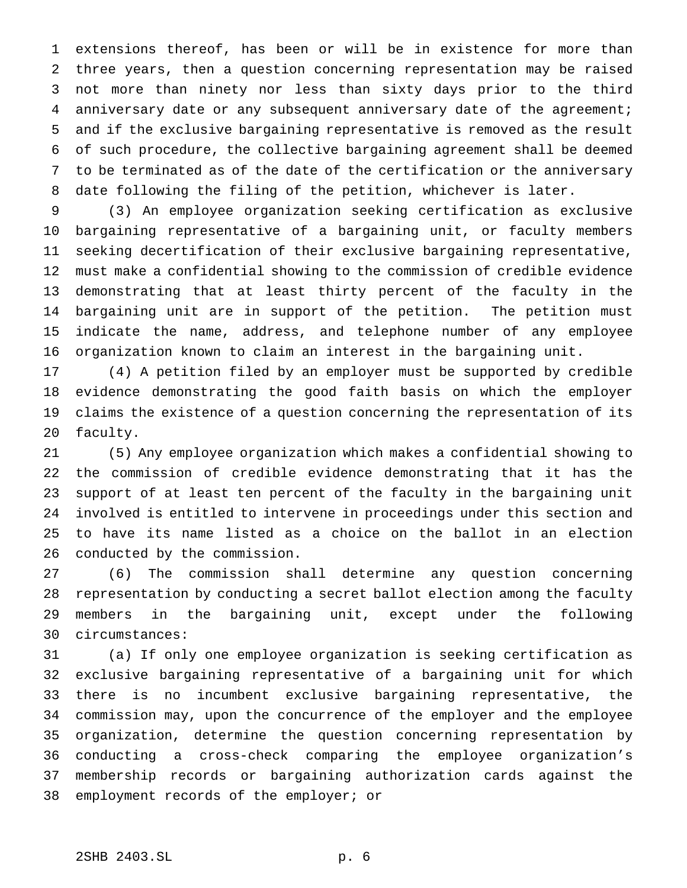extensions thereof, has been or will be in existence for more than three years, then a question concerning representation may be raised not more than ninety nor less than sixty days prior to the third anniversary date or any subsequent anniversary date of the agreement; and if the exclusive bargaining representative is removed as the result of such procedure, the collective bargaining agreement shall be deemed to be terminated as of the date of the certification or the anniversary date following the filing of the petition, whichever is later.

 (3) An employee organization seeking certification as exclusive bargaining representative of a bargaining unit, or faculty members seeking decertification of their exclusive bargaining representative, must make a confidential showing to the commission of credible evidence demonstrating that at least thirty percent of the faculty in the bargaining unit are in support of the petition. The petition must indicate the name, address, and telephone number of any employee organization known to claim an interest in the bargaining unit.

 (4) A petition filed by an employer must be supported by credible evidence demonstrating the good faith basis on which the employer claims the existence of a question concerning the representation of its faculty.

 (5) Any employee organization which makes a confidential showing to the commission of credible evidence demonstrating that it has the support of at least ten percent of the faculty in the bargaining unit involved is entitled to intervene in proceedings under this section and to have its name listed as a choice on the ballot in an election conducted by the commission.

 (6) The commission shall determine any question concerning representation by conducting a secret ballot election among the faculty members in the bargaining unit, except under the following circumstances:

 (a) If only one employee organization is seeking certification as exclusive bargaining representative of a bargaining unit for which there is no incumbent exclusive bargaining representative, the commission may, upon the concurrence of the employer and the employee organization, determine the question concerning representation by conducting a cross-check comparing the employee organization's membership records or bargaining authorization cards against the employment records of the employer; or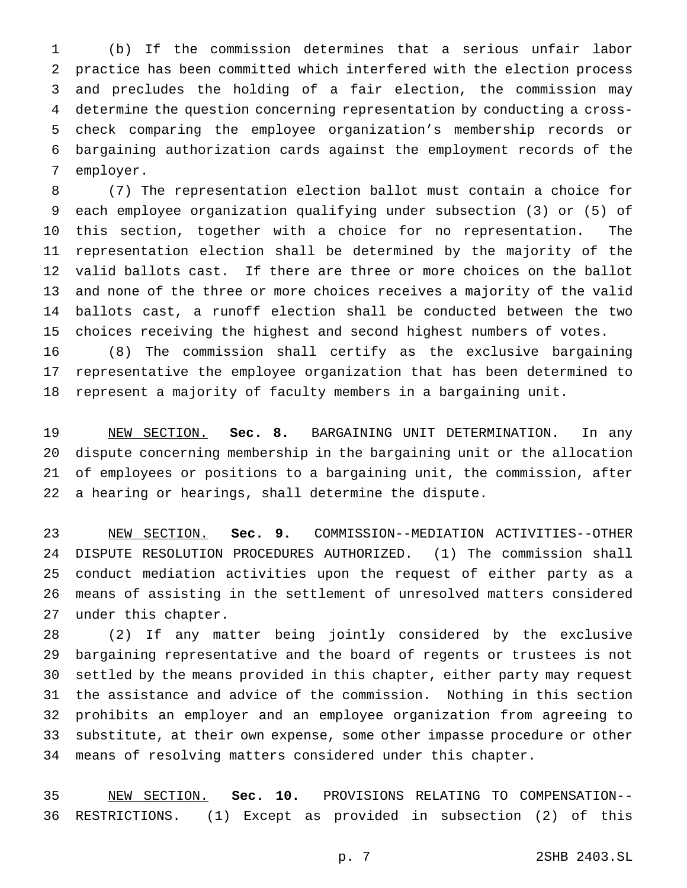(b) If the commission determines that a serious unfair labor practice has been committed which interfered with the election process and precludes the holding of a fair election, the commission may determine the question concerning representation by conducting a cross- check comparing the employee organization's membership records or bargaining authorization cards against the employment records of the employer.

 (7) The representation election ballot must contain a choice for each employee organization qualifying under subsection (3) or (5) of this section, together with a choice for no representation. The representation election shall be determined by the majority of the valid ballots cast. If there are three or more choices on the ballot and none of the three or more choices receives a majority of the valid ballots cast, a runoff election shall be conducted between the two choices receiving the highest and second highest numbers of votes.

 (8) The commission shall certify as the exclusive bargaining representative the employee organization that has been determined to represent a majority of faculty members in a bargaining unit.

 NEW SECTION. **Sec. 8.** BARGAINING UNIT DETERMINATION. In any dispute concerning membership in the bargaining unit or the allocation of employees or positions to a bargaining unit, the commission, after a hearing or hearings, shall determine the dispute.

 NEW SECTION. **Sec. 9.** COMMISSION--MEDIATION ACTIVITIES--OTHER DISPUTE RESOLUTION PROCEDURES AUTHORIZED. (1) The commission shall conduct mediation activities upon the request of either party as a means of assisting in the settlement of unresolved matters considered under this chapter.

 (2) If any matter being jointly considered by the exclusive bargaining representative and the board of regents or trustees is not settled by the means provided in this chapter, either party may request the assistance and advice of the commission. Nothing in this section prohibits an employer and an employee organization from agreeing to substitute, at their own expense, some other impasse procedure or other means of resolving matters considered under this chapter.

 NEW SECTION. **Sec. 10.** PROVISIONS RELATING TO COMPENSATION-- RESTRICTIONS. (1) Except as provided in subsection (2) of this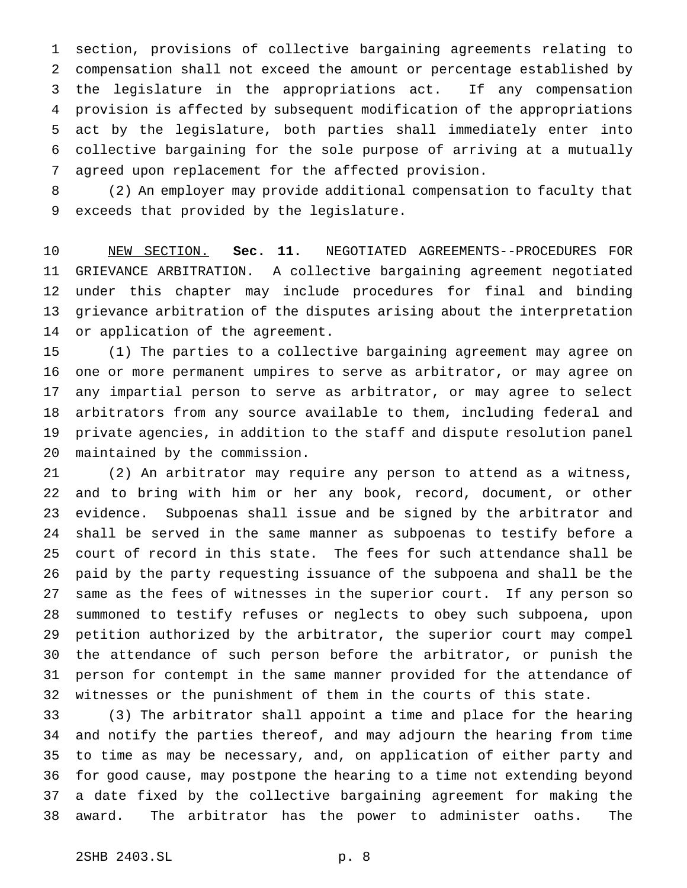section, provisions of collective bargaining agreements relating to compensation shall not exceed the amount or percentage established by the legislature in the appropriations act. If any compensation provision is affected by subsequent modification of the appropriations act by the legislature, both parties shall immediately enter into collective bargaining for the sole purpose of arriving at a mutually agreed upon replacement for the affected provision.

 (2) An employer may provide additional compensation to faculty that exceeds that provided by the legislature.

 NEW SECTION. **Sec. 11.** NEGOTIATED AGREEMENTS--PROCEDURES FOR GRIEVANCE ARBITRATION. A collective bargaining agreement negotiated under this chapter may include procedures for final and binding grievance arbitration of the disputes arising about the interpretation or application of the agreement.

 (1) The parties to a collective bargaining agreement may agree on one or more permanent umpires to serve as arbitrator, or may agree on any impartial person to serve as arbitrator, or may agree to select arbitrators from any source available to them, including federal and private agencies, in addition to the staff and dispute resolution panel maintained by the commission.

 (2) An arbitrator may require any person to attend as a witness, and to bring with him or her any book, record, document, or other evidence. Subpoenas shall issue and be signed by the arbitrator and shall be served in the same manner as subpoenas to testify before a court of record in this state. The fees for such attendance shall be paid by the party requesting issuance of the subpoena and shall be the same as the fees of witnesses in the superior court. If any person so summoned to testify refuses or neglects to obey such subpoena, upon petition authorized by the arbitrator, the superior court may compel the attendance of such person before the arbitrator, or punish the person for contempt in the same manner provided for the attendance of witnesses or the punishment of them in the courts of this state.

 (3) The arbitrator shall appoint a time and place for the hearing and notify the parties thereof, and may adjourn the hearing from time to time as may be necessary, and, on application of either party and for good cause, may postpone the hearing to a time not extending beyond a date fixed by the collective bargaining agreement for making the award. The arbitrator has the power to administer oaths. The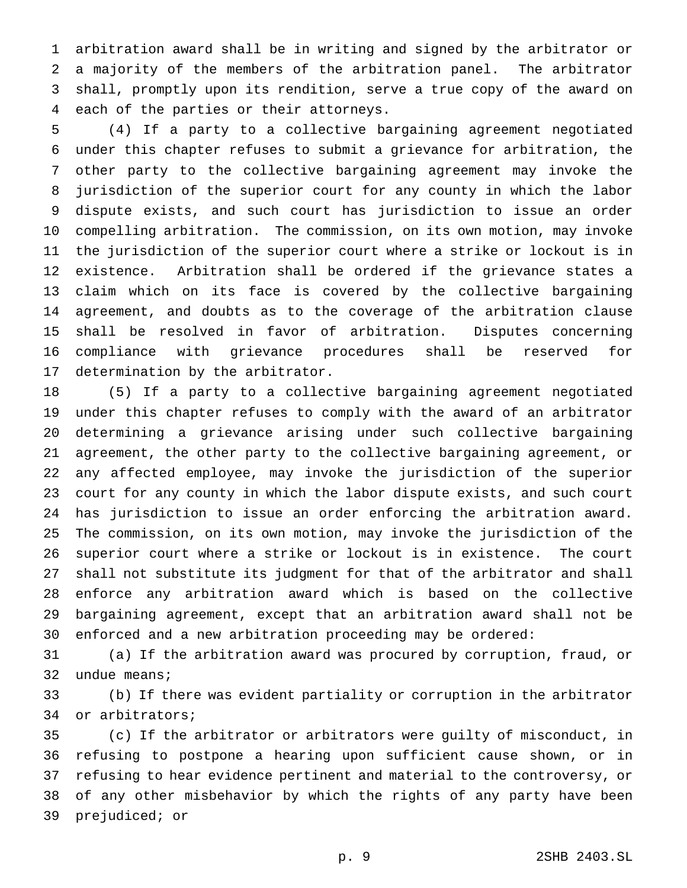arbitration award shall be in writing and signed by the arbitrator or a majority of the members of the arbitration panel. The arbitrator shall, promptly upon its rendition, serve a true copy of the award on each of the parties or their attorneys.

 (4) If a party to a collective bargaining agreement negotiated under this chapter refuses to submit a grievance for arbitration, the other party to the collective bargaining agreement may invoke the jurisdiction of the superior court for any county in which the labor dispute exists, and such court has jurisdiction to issue an order compelling arbitration. The commission, on its own motion, may invoke the jurisdiction of the superior court where a strike or lockout is in existence. Arbitration shall be ordered if the grievance states a claim which on its face is covered by the collective bargaining agreement, and doubts as to the coverage of the arbitration clause shall be resolved in favor of arbitration. Disputes concerning compliance with grievance procedures shall be reserved for determination by the arbitrator.

 (5) If a party to a collective bargaining agreement negotiated under this chapter refuses to comply with the award of an arbitrator determining a grievance arising under such collective bargaining agreement, the other party to the collective bargaining agreement, or any affected employee, may invoke the jurisdiction of the superior court for any county in which the labor dispute exists, and such court has jurisdiction to issue an order enforcing the arbitration award. The commission, on its own motion, may invoke the jurisdiction of the superior court where a strike or lockout is in existence. The court shall not substitute its judgment for that of the arbitrator and shall enforce any arbitration award which is based on the collective bargaining agreement, except that an arbitration award shall not be enforced and a new arbitration proceeding may be ordered:

 (a) If the arbitration award was procured by corruption, fraud, or undue means;

 (b) If there was evident partiality or corruption in the arbitrator or arbitrators;

 (c) If the arbitrator or arbitrators were guilty of misconduct, in refusing to postpone a hearing upon sufficient cause shown, or in refusing to hear evidence pertinent and material to the controversy, or of any other misbehavior by which the rights of any party have been prejudiced; or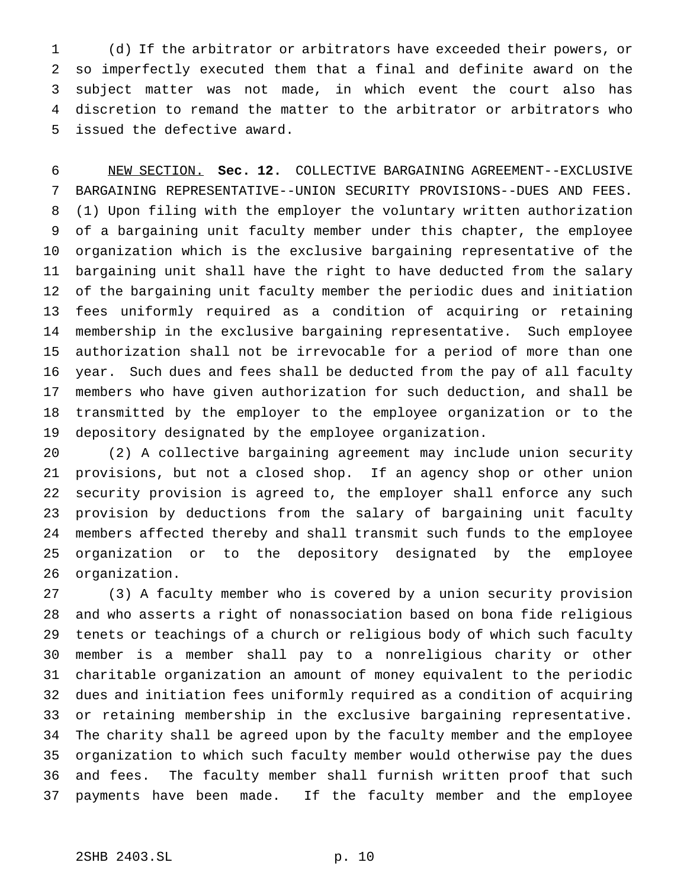(d) If the arbitrator or arbitrators have exceeded their powers, or so imperfectly executed them that a final and definite award on the subject matter was not made, in which event the court also has discretion to remand the matter to the arbitrator or arbitrators who issued the defective award.

 NEW SECTION. **Sec. 12.** COLLECTIVE BARGAINING AGREEMENT--EXCLUSIVE BARGAINING REPRESENTATIVE--UNION SECURITY PROVISIONS--DUES AND FEES. (1) Upon filing with the employer the voluntary written authorization of a bargaining unit faculty member under this chapter, the employee organization which is the exclusive bargaining representative of the bargaining unit shall have the right to have deducted from the salary of the bargaining unit faculty member the periodic dues and initiation fees uniformly required as a condition of acquiring or retaining membership in the exclusive bargaining representative. Such employee authorization shall not be irrevocable for a period of more than one year. Such dues and fees shall be deducted from the pay of all faculty members who have given authorization for such deduction, and shall be transmitted by the employer to the employee organization or to the depository designated by the employee organization.

 (2) A collective bargaining agreement may include union security provisions, but not a closed shop. If an agency shop or other union security provision is agreed to, the employer shall enforce any such provision by deductions from the salary of bargaining unit faculty members affected thereby and shall transmit such funds to the employee organization or to the depository designated by the employee organization.

 (3) A faculty member who is covered by a union security provision and who asserts a right of nonassociation based on bona fide religious tenets or teachings of a church or religious body of which such faculty member is a member shall pay to a nonreligious charity or other charitable organization an amount of money equivalent to the periodic dues and initiation fees uniformly required as a condition of acquiring or retaining membership in the exclusive bargaining representative. The charity shall be agreed upon by the faculty member and the employee organization to which such faculty member would otherwise pay the dues and fees. The faculty member shall furnish written proof that such payments have been made. If the faculty member and the employee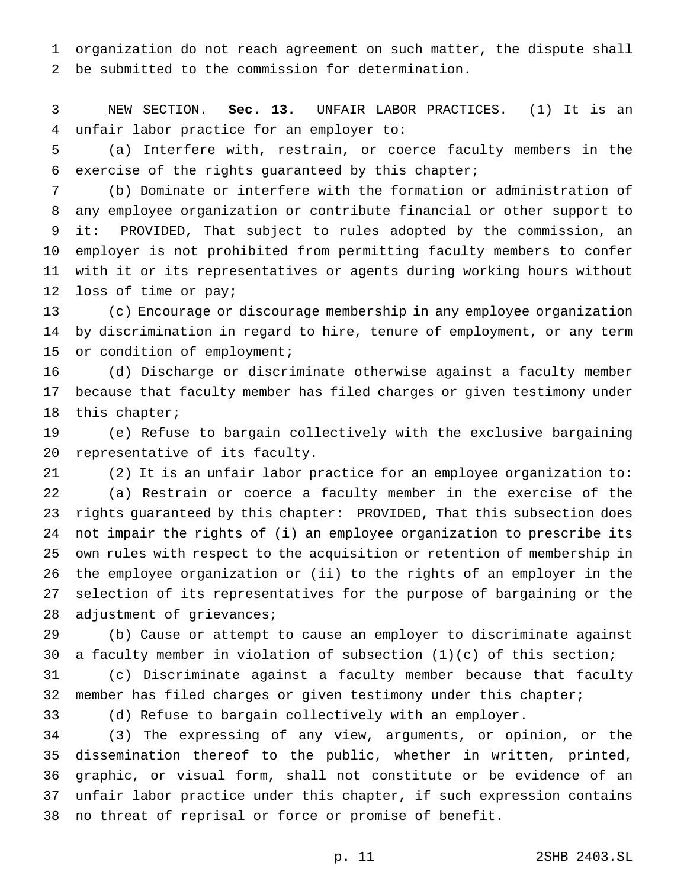organization do not reach agreement on such matter, the dispute shall be submitted to the commission for determination.

 NEW SECTION. **Sec. 13.** UNFAIR LABOR PRACTICES. (1) It is an unfair labor practice for an employer to:

 (a) Interfere with, restrain, or coerce faculty members in the exercise of the rights guaranteed by this chapter;

 (b) Dominate or interfere with the formation or administration of any employee organization or contribute financial or other support to it: PROVIDED, That subject to rules adopted by the commission, an employer is not prohibited from permitting faculty members to confer with it or its representatives or agents during working hours without loss of time or pay;

 (c) Encourage or discourage membership in any employee organization by discrimination in regard to hire, tenure of employment, or any term or condition of employment;

 (d) Discharge or discriminate otherwise against a faculty member because that faculty member has filed charges or given testimony under this chapter;

 (e) Refuse to bargain collectively with the exclusive bargaining representative of its faculty.

 (2) It is an unfair labor practice for an employee organization to: (a) Restrain or coerce a faculty member in the exercise of the rights guaranteed by this chapter: PROVIDED, That this subsection does not impair the rights of (i) an employee organization to prescribe its own rules with respect to the acquisition or retention of membership in the employee organization or (ii) to the rights of an employer in the selection of its representatives for the purpose of bargaining or the 28 adjustment of grievances;

 (b) Cause or attempt to cause an employer to discriminate against a faculty member in violation of subsection (1)(c) of this section;

 (c) Discriminate against a faculty member because that faculty member has filed charges or given testimony under this chapter;

(d) Refuse to bargain collectively with an employer.

 (3) The expressing of any view, arguments, or opinion, or the dissemination thereof to the public, whether in written, printed, graphic, or visual form, shall not constitute or be evidence of an unfair labor practice under this chapter, if such expression contains no threat of reprisal or force or promise of benefit.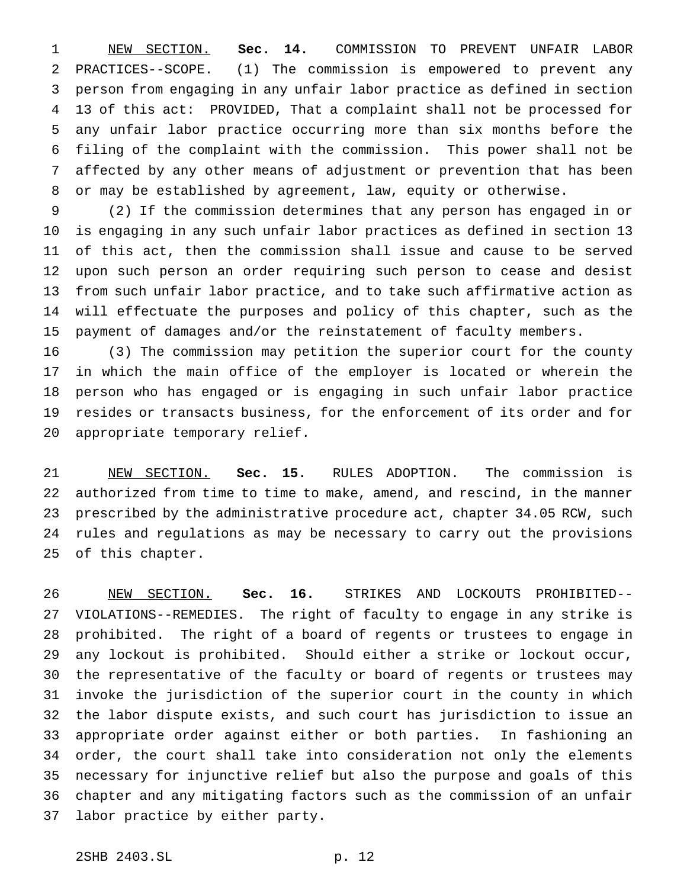NEW SECTION. **Sec. 14.** COMMISSION TO PREVENT UNFAIR LABOR PRACTICES--SCOPE. (1) The commission is empowered to prevent any person from engaging in any unfair labor practice as defined in section 13 of this act: PROVIDED, That a complaint shall not be processed for any unfair labor practice occurring more than six months before the filing of the complaint with the commission. This power shall not be affected by any other means of adjustment or prevention that has been or may be established by agreement, law, equity or otherwise.

 (2) If the commission determines that any person has engaged in or is engaging in any such unfair labor practices as defined in section 13 of this act, then the commission shall issue and cause to be served upon such person an order requiring such person to cease and desist from such unfair labor practice, and to take such affirmative action as will effectuate the purposes and policy of this chapter, such as the payment of damages and/or the reinstatement of faculty members.

 (3) The commission may petition the superior court for the county in which the main office of the employer is located or wherein the person who has engaged or is engaging in such unfair labor practice resides or transacts business, for the enforcement of its order and for appropriate temporary relief.

 NEW SECTION. **Sec. 15.** RULES ADOPTION. The commission is authorized from time to time to make, amend, and rescind, in the manner prescribed by the administrative procedure act, chapter 34.05 RCW, such rules and regulations as may be necessary to carry out the provisions of this chapter.

 NEW SECTION. **Sec. 16.** STRIKES AND LOCKOUTS PROHIBITED-- VIOLATIONS--REMEDIES. The right of faculty to engage in any strike is prohibited. The right of a board of regents or trustees to engage in any lockout is prohibited. Should either a strike or lockout occur, the representative of the faculty or board of regents or trustees may invoke the jurisdiction of the superior court in the county in which the labor dispute exists, and such court has jurisdiction to issue an appropriate order against either or both parties. In fashioning an order, the court shall take into consideration not only the elements necessary for injunctive relief but also the purpose and goals of this chapter and any mitigating factors such as the commission of an unfair labor practice by either party.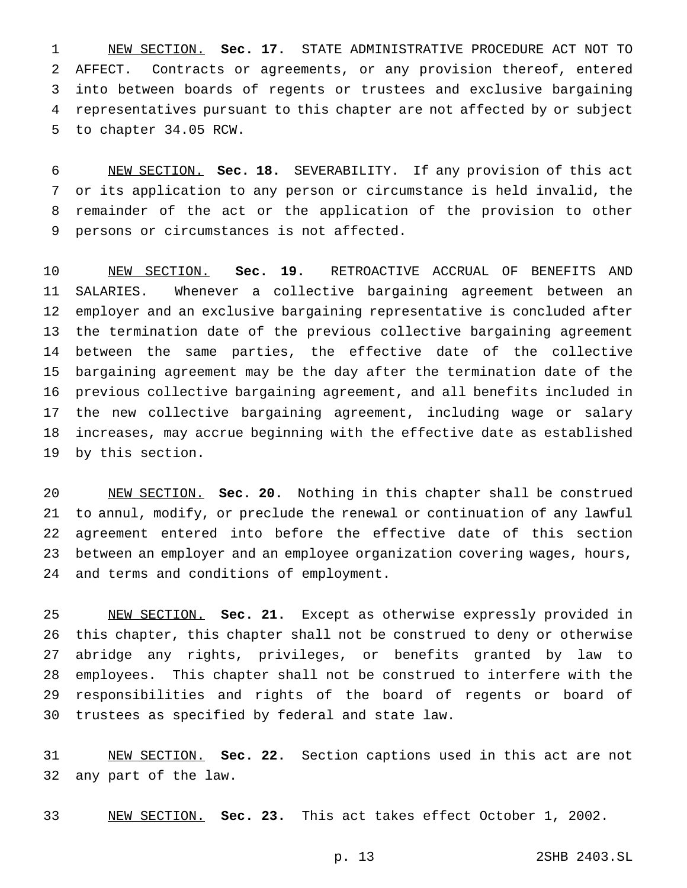NEW SECTION. **Sec. 17.** STATE ADMINISTRATIVE PROCEDURE ACT NOT TO AFFECT. Contracts or agreements, or any provision thereof, entered into between boards of regents or trustees and exclusive bargaining representatives pursuant to this chapter are not affected by or subject to chapter 34.05 RCW.

 NEW SECTION. **Sec. 18.** SEVERABILITY. If any provision of this act or its application to any person or circumstance is held invalid, the remainder of the act or the application of the provision to other persons or circumstances is not affected.

 NEW SECTION. **Sec. 19.** RETROACTIVE ACCRUAL OF BENEFITS AND SALARIES. Whenever a collective bargaining agreement between an employer and an exclusive bargaining representative is concluded after the termination date of the previous collective bargaining agreement between the same parties, the effective date of the collective bargaining agreement may be the day after the termination date of the previous collective bargaining agreement, and all benefits included in the new collective bargaining agreement, including wage or salary increases, may accrue beginning with the effective date as established by this section.

 NEW SECTION. **Sec. 20.** Nothing in this chapter shall be construed to annul, modify, or preclude the renewal or continuation of any lawful agreement entered into before the effective date of this section between an employer and an employee organization covering wages, hours, and terms and conditions of employment.

 NEW SECTION. **Sec. 21.** Except as otherwise expressly provided in this chapter, this chapter shall not be construed to deny or otherwise abridge any rights, privileges, or benefits granted by law to employees. This chapter shall not be construed to interfere with the responsibilities and rights of the board of regents or board of trustees as specified by federal and state law.

 NEW SECTION. **Sec. 22.** Section captions used in this act are not any part of the law.

NEW SECTION. **Sec. 23.** This act takes effect October 1, 2002.

p. 13 2SHB 2403.SL